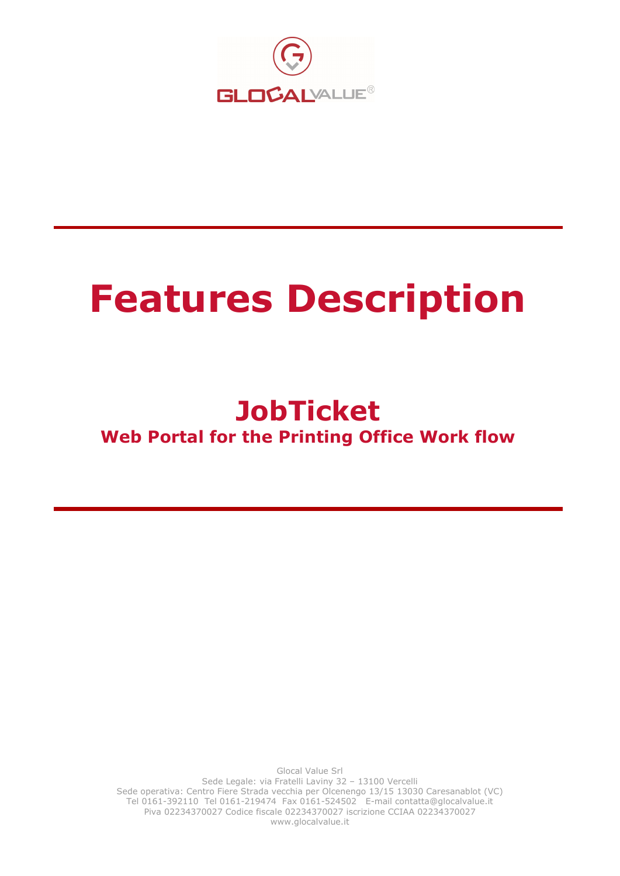

# Features Description

# **JobTicket** Web Portal for the Printing Office Work flow

Glocal Value Srl Sede Legale: via Fratelli Laviny 32 – 13100 Vercelli Sede operativa: Centro Fiere Strada vecchia per Olcenengo 13/15 13030 Caresanablot (VC) Tel 0161-392110 Tel 0161-219474 Fax 0161-524502 E-mail contatta@glocalvalue.it Piva 02234370027 Codice fiscale 02234370027 iscrizione CCIAA 02234370027 www.glocalvalue.it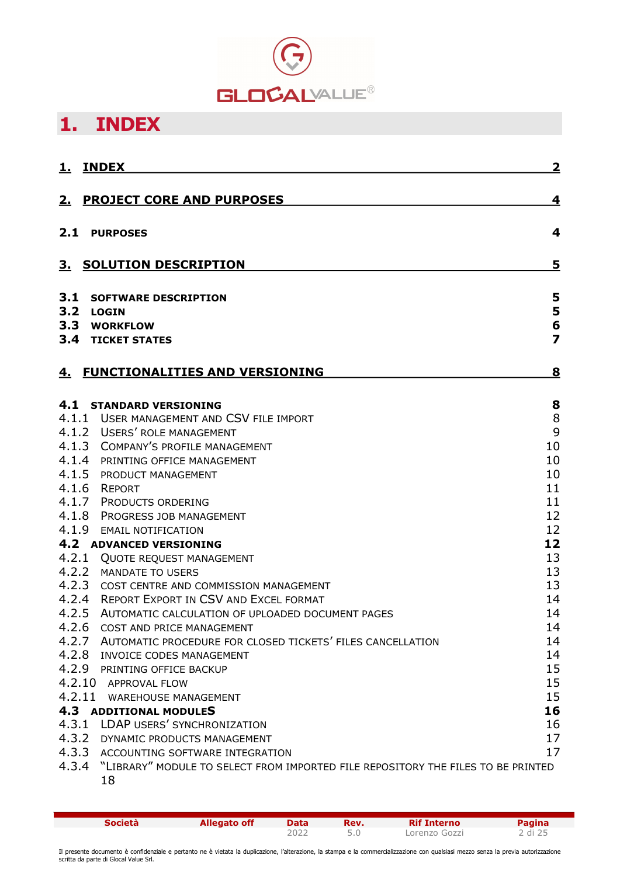

# 1. INDEX

| 1.                | <b>INDEX</b>                                                                     | $\overline{\mathbf{2}}$ |
|-------------------|----------------------------------------------------------------------------------|-------------------------|
|                   | 2. PROJECT CORE AND PURPOSES                                                     | 4                       |
| 2.1               | <b>PURPOSES</b>                                                                  | 4                       |
| З.                | <b>SOLUTION DESCRIPTION</b>                                                      | 5                       |
| 3.1<br>3.2<br>3.3 | <b>SOFTWARE DESCRIPTION</b><br><b>LOGIN</b><br><b>WORKFLOW</b>                   | 5<br>5<br>6             |
|                   | <b>3.4 TICKET STATES</b>                                                         | $\overline{\mathbf{z}}$ |
| <u>4.</u>         | <b>FUNCTIONALITIES AND VERSIONING</b>                                            | 8                       |
| 4.1               | <b>STANDARD VERSIONING</b>                                                       | 8                       |
|                   | 4.1.1 USER MANAGEMENT AND CSV FILE IMPORT<br>4.1.2 USERS' ROLE MANAGEMENT        | 8                       |
|                   | 4.1.3 COMPANY'S PROFILE MANAGEMENT                                               | 9<br>10                 |
| 4.1.4             | PRINTING OFFICE MANAGEMENT                                                       | 10                      |
| 4.1.5             | PRODUCT MANAGEMENT                                                               | 10                      |
| 4.1.6             | REPORT                                                                           | 11                      |
|                   | 4.1.7 PRODUCTS ORDERING                                                          | 11                      |
| 4.1.8             | PROGRESS JOB MANAGEMENT                                                          | 12                      |
| 4.1.9             | <b>EMAIL NOTIFICATION</b>                                                        | 12                      |
|                   | <b>4.2 ADVANCED VERSIONING</b>                                                   | 12                      |
|                   | 4.2.1 QUOTE REQUEST MANAGEMENT                                                   | 13                      |
| 4.2.2             | MANDATE TO USERS                                                                 | 13                      |
| 4.2.3             | COST CENTRE AND COMMISSION MANAGEMENT                                            | 13                      |
|                   | 4.2.4 REPORT EXPORT IN CSV AND EXCEL FORMAT                                      | 14                      |
| 4.2.5             | AUTOMATIC CALCULATION OF UPLOADED DOCUMENT PAGES                                 | 14                      |
| 4.2.6             | COST AND PRICE MANAGEMENT                                                        | 14                      |
| 4.2.7             | AUTOMATIC PROCEDURE FOR CLOSED TICKETS' FILES CANCELLATION                       | 14                      |
| 4.2.8             | INVOICE CODES MANAGEMENT                                                         | 14                      |
|                   | 4.2.9 PRINTING OFFICE BACKUP                                                     | 15                      |
|                   | 4.2.10 APPROVAL FLOW                                                             | 15                      |
|                   | 4.2.11 WAREHOUSE MANAGEMENT                                                      | 15                      |
|                   | <b>4.3 ADDITIONAL MODULES</b>                                                    | 16                      |
|                   | 4.3.1 LDAP USERS' SYNCHRONIZATION                                                | 16                      |
| 4.3.2             | DYNAMIC PRODUCTS MANAGEMENT                                                      | 17                      |
| 4.3.3             | ACCOUNTING SOFTWARE INTEGRATION                                                  | 17                      |
| 4.3.4             | "LIBRARY" MODULE TO SELECT FROM IMPORTED FILE REPOSITORY THE FILES TO BE PRINTED |                         |
|                   | 18                                                                               |                         |

**Società Allegato off Data Rev. Rif Interno Pagina**<br>2022 5.0 Lorenzo Gozzi 2 di 25 Lorenzo Gozzi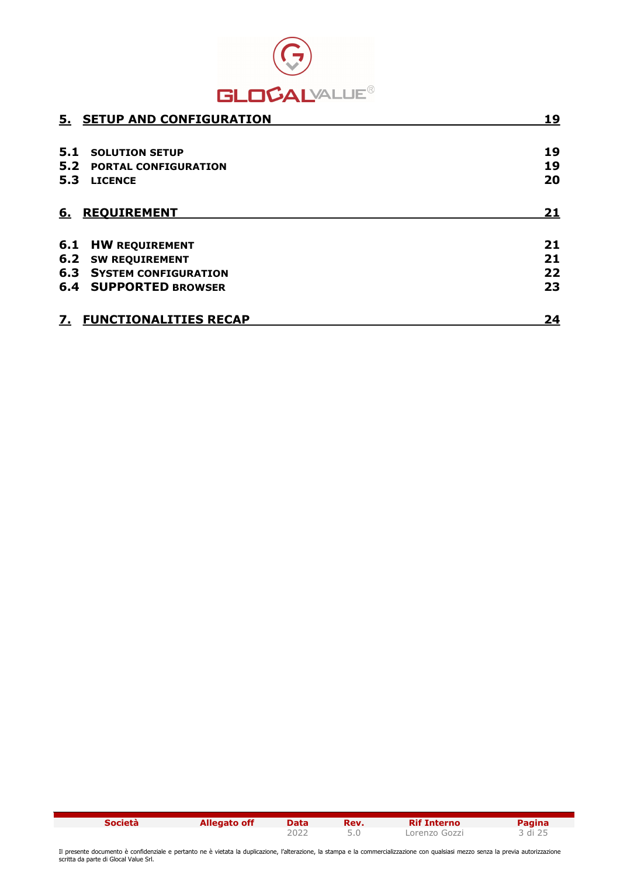

|     | 5. SETUP AND CONFIGURATION      | 19        |
|-----|---------------------------------|-----------|
|     |                                 |           |
| 5.1 | <b>SOLUTION SETUP</b>           | 19        |
| 5.2 | <b>PORTAL CONFIGURATION</b>     | 19        |
| 5.3 | <b>LICENCE</b>                  | 20        |
| 6.  | <b>REQUIREMENT</b>              | <u>21</u> |
| 6.1 | <b>HW REQUIREMENT</b>           | 21        |
| 6.2 | <b>SW REQUIREMENT</b>           | 21        |
|     | <b>6.3 SYSTEM CONFIGURATION</b> | 22        |
|     | <b>6.4 SUPPORTED BROWSER</b>    | 23        |
| 7.  | <b>FUNCTIONALITIES RECAP</b>    | 24        |

| <b>Società</b> | Allegato off | Data | Rev. | <b>Rif Interno</b> | Pagina  |
|----------------|--------------|------|------|--------------------|---------|
|                |              |      |      | Lorenzo Gozzi      | 3 di 25 |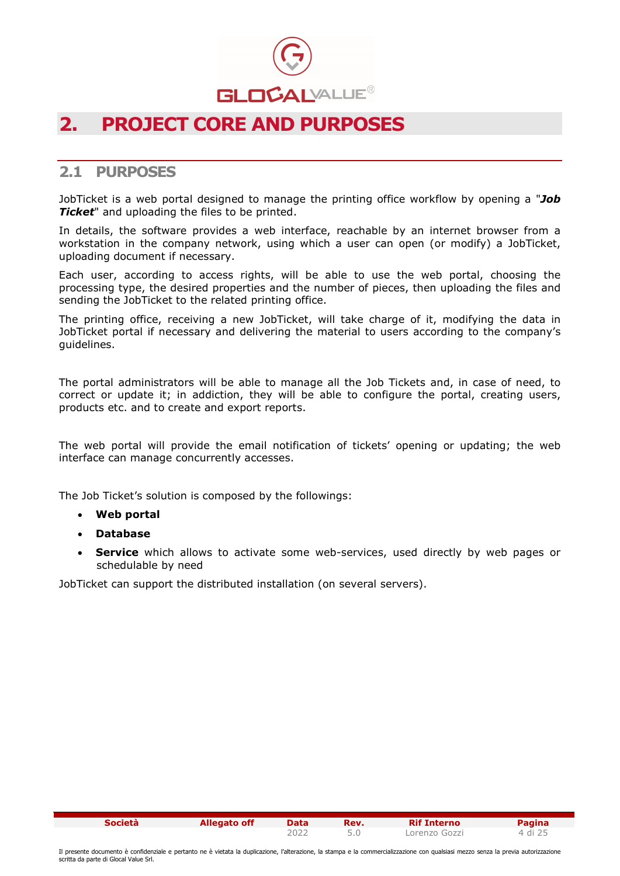

## 2. PROJECT CORE AND PURPOSES

#### 2.1 PURPOSES

JobTicket is a web portal designed to manage the printing office workflow by opening a "Job **Ticket**" and uploading the files to be printed.

In details, the software provides a web interface, reachable by an internet browser from a workstation in the company network, using which a user can open (or modify) a JobTicket, uploading document if necessary.

Each user, according to access rights, will be able to use the web portal, choosing the processing type, the desired properties and the number of pieces, then uploading the files and sending the JobTicket to the related printing office.

The printing office, receiving a new JobTicket, will take charge of it, modifying the data in JobTicket portal if necessary and delivering the material to users according to the company's guidelines.

The portal administrators will be able to manage all the Job Tickets and, in case of need, to correct or update it; in addiction, they will be able to configure the portal, creating users, products etc. and to create and export reports.

The web portal will provide the email notification of tickets' opening or updating; the web interface can manage concurrently accesses.

The Job Ticket's solution is composed by the followings:

- Web portal
- Database
- Service which allows to activate some web-services, used directly by web pages or schedulable by need

JobTicket can support the distributed installation (on several servers).

| Società | <b>Allegato off</b> | Data | Rev. | <b>Rif Interno</b> | Pagina  |
|---------|---------------------|------|------|--------------------|---------|
|         |                     |      |      | Lorenzo Gozzi      | 4 di 25 |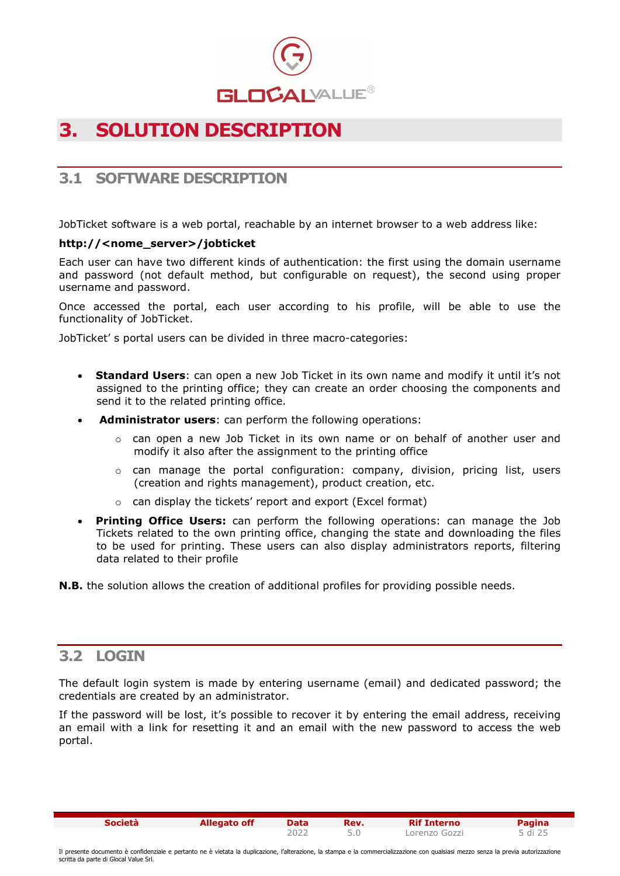

# 3. SOLUTION DESCRIPTION

#### 3.1 SOFTWARE DESCRIPTION

JobTicket software is a web portal, reachable by an internet browser to a web address like:

#### http://<nome\_server>/jobticket

Each user can have two different kinds of authentication: the first using the domain username and password (not default method, but configurable on request), the second using proper username and password.

Once accessed the portal, each user according to his profile, will be able to use the functionality of JobTicket.

JobTicket' s portal users can be divided in three macro-categories:

- Standard Users: can open a new Job Ticket in its own name and modify it until it's not assigned to the printing office; they can create an order choosing the components and send it to the related printing office.
- Administrator users: can perform the following operations:
	- $\circ$  can open a new Job Ticket in its own name or on behalf of another user and modify it also after the assignment to the printing office
	- $\circ$  can manage the portal configuration: company, division, pricing list, users (creation and rights management), product creation, etc.
	- o can display the tickets' report and export (Excel format)
- Printing Office Users: can perform the following operations: can manage the Job Tickets related to the own printing office, changing the state and downloading the files to be used for printing. These users can also display administrators reports, filtering data related to their profile

**N.B.** the solution allows the creation of additional profiles for providing possible needs.

#### 3.2 LOGIN

The default login system is made by entering username (email) and dedicated password; the credentials are created by an administrator.

If the password will be lost, it's possible to recover it by entering the email address, receiving an email with a link for resetting it and an email with the new password to access the web portal.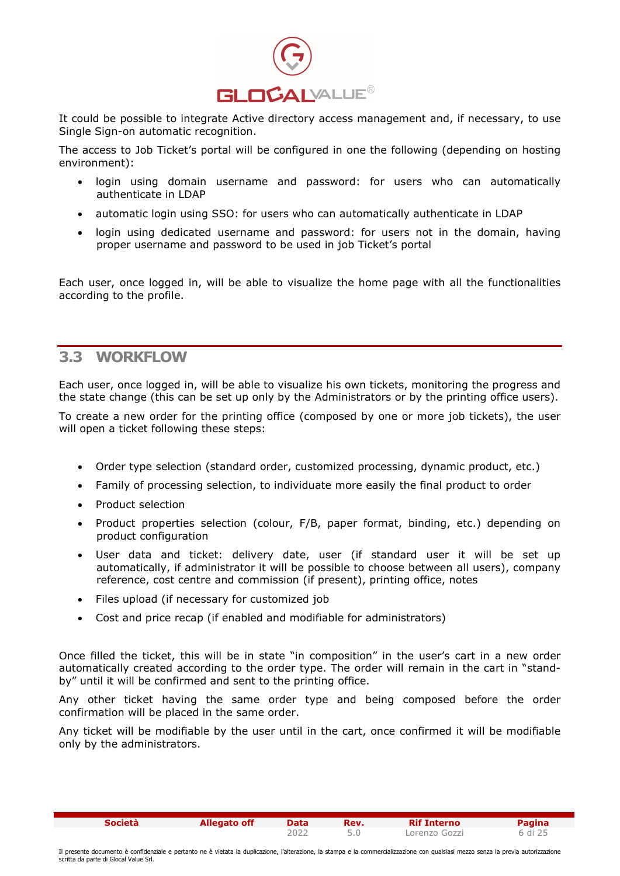

It could be possible to integrate Active directory access management and, if necessary, to use Single Sign-on automatic recognition.

The access to Job Ticket's portal will be configured in one the following (depending on hosting environment):

- login using domain username and password: for users who can automatically authenticate in LDAP
- automatic login using SSO: for users who can automatically authenticate in LDAP
- login using dedicated username and password: for users not in the domain, having proper username and password to be used in job Ticket's portal

Each user, once logged in, will be able to visualize the home page with all the functionalities according to the profile.

#### 3.3 WORKFLOW

Each user, once logged in, will be able to visualize his own tickets, monitoring the progress and the state change (this can be set up only by the Administrators or by the printing office users).

To create a new order for the printing office (composed by one or more job tickets), the user will open a ticket following these steps:

- Order type selection (standard order, customized processing, dynamic product, etc.)
- Family of processing selection, to individuate more easily the final product to order
- Product selection
- Product properties selection (colour, F/B, paper format, binding, etc.) depending on product configuration
- User data and ticket: delivery date, user (if standard user it will be set up automatically, if administrator it will be possible to choose between all users), company reference, cost centre and commission (if present), printing office, notes
- Files upload (if necessary for customized job
- Cost and price recap (if enabled and modifiable for administrators)

Once filled the ticket, this will be in state "in composition" in the user's cart in a new order automatically created according to the order type. The order will remain in the cart in "standby" until it will be confirmed and sent to the printing office.

Any other ticket having the same order type and being composed before the order confirmation will be placed in the same order.

Any ticket will be modifiable by the user until in the cart, once confirmed it will be modifiable only by the administrators.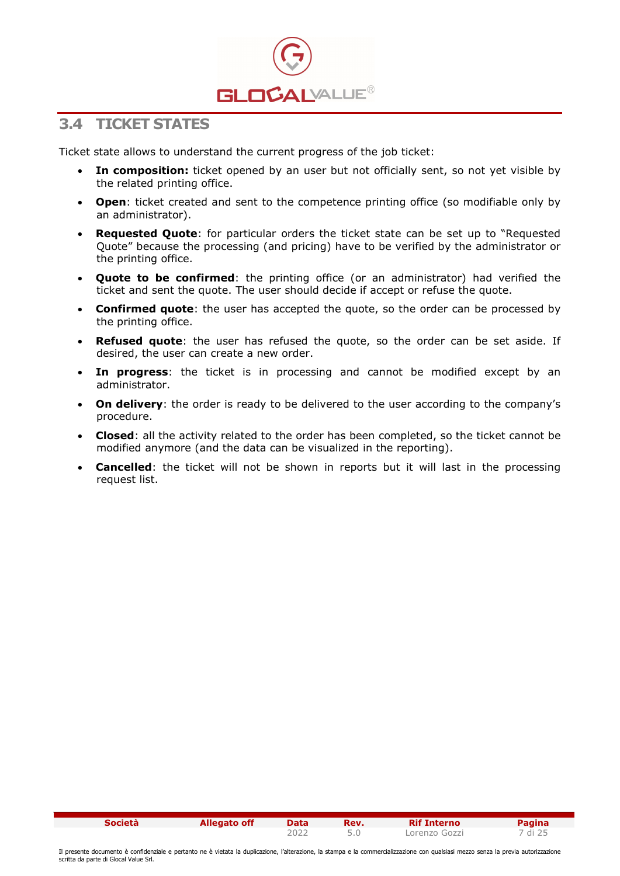

#### 3.4 TICKET STATES

Ticket state allows to understand the current progress of the job ticket:

- In composition: ticket opened by an user but not officially sent, so not yet visible by the related printing office.
- Open: ticket created and sent to the competence printing office (so modifiable only by an administrator).
- Requested Quote: for particular orders the ticket state can be set up to "Requested Quote" because the processing (and pricing) have to be verified by the administrator or the printing office.
- Quote to be confirmed: the printing office (or an administrator) had verified the ticket and sent the quote. The user should decide if accept or refuse the quote.
- Confirmed quote: the user has accepted the quote, so the order can be processed by the printing office.
- **Refused quote:** the user has refused the quote, so the order can be set aside. If desired, the user can create a new order.
- In progress: the ticket is in processing and cannot be modified except by an administrator.
- On delivery: the order is ready to be delivered to the user according to the company's procedure.
- Closed: all the activity related to the order has been completed, so the ticket cannot be modified anymore (and the data can be visualized in the reporting).
- Cancelled: the ticket will not be shown in reports but it will last in the processing request list.

| <b>Società</b> | <b>Allegato off</b> | <b>Data</b> | Rev. | <b>Rif Interno</b> | Pagina  |
|----------------|---------------------|-------------|------|--------------------|---------|
|                |                     |             |      | Lorenzo Gozzi      | 7 di 25 |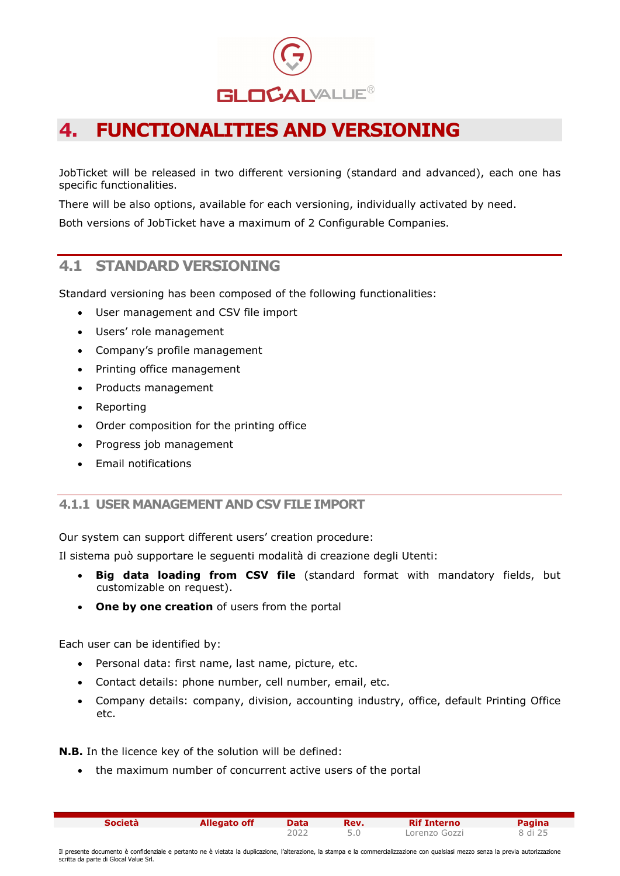

# 4. FUNCTIONALITIES AND VERSIONING

JobTicket will be released in two different versioning (standard and advanced), each one has specific functionalities.

There will be also options, available for each versioning, individually activated by need.

Both versions of JobTicket have a maximum of 2 Configurable Companies.

#### 4.1 STANDARD VERSIONING

Standard versioning has been composed of the following functionalities:

- User management and CSV file import
- Users' role management
- Company's profile management
- Printing office management
- Products management
- Reporting
- Order composition for the printing office
- Progress job management
- Email notifications

#### 4.1.1 USER MANAGEMENT AND CSV FILE IMPORT

Our system can support different users' creation procedure:

Il sistema può supportare le seguenti modalità di creazione degli Utenti:

- Big data loading from CSV file (standard format with mandatory fields, but customizable on request).
- One by one creation of users from the portal

Each user can be identified by:

- Personal data: first name, last name, picture, etc.
- Contact details: phone number, cell number, email, etc.
- Company details: company, division, accounting industry, office, default Printing Office etc.

N.B. In the licence key of the solution will be defined:

the maximum number of concurrent active users of the portal

| <b>Società</b> | <b>Allegato off</b> | Data | Rev. | <b>Rif Interno</b> | <b>Pagina</b> |
|----------------|---------------------|------|------|--------------------|---------------|
|                |                     |      |      | Lorenzo Gozzi      | 8 di 25       |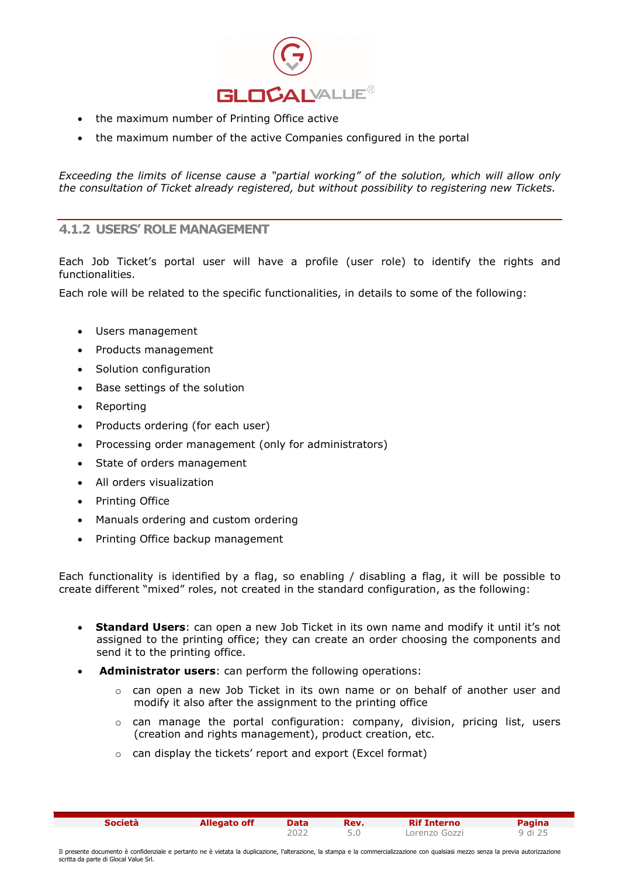

- the maximum number of Printing Office active
- the maximum number of the active Companies configured in the portal

Exceeding the limits of license cause a "partial working" of the solution, which will allow only the consultation of Ticket already registered, but without possibility to registering new Tickets.

#### 4.1.2 USERS' ROLE MANAGEMENT

Each Job Ticket's portal user will have a profile (user role) to identify the rights and functionalities.

Each role will be related to the specific functionalities, in details to some of the following:

- Users management
- Products management
- Solution configuration
- Base settings of the solution
- Reporting
- Products ordering (for each user)
- Processing order management (only for administrators)
- State of orders management
- All orders visualization
- Printing Office
- Manuals ordering and custom ordering
- Printing Office backup management

Each functionality is identified by a flag, so enabling / disabling a flag, it will be possible to create different "mixed" roles, not created in the standard configuration, as the following:

- **Standard Users:** can open a new Job Ticket in its own name and modify it until it's not assigned to the printing office; they can create an order choosing the components and send it to the printing office.
- Administrator users: can perform the following operations:
	- $\circ$  can open a new Job Ticket in its own name or on behalf of another user and modify it also after the assignment to the printing office
	- o can manage the portal configuration: company, division, pricing list, users (creation and rights management), product creation, etc.

2022 5.0 Lorenzo Gozzi 9 di 25

o can display the tickets' report and export (Excel format)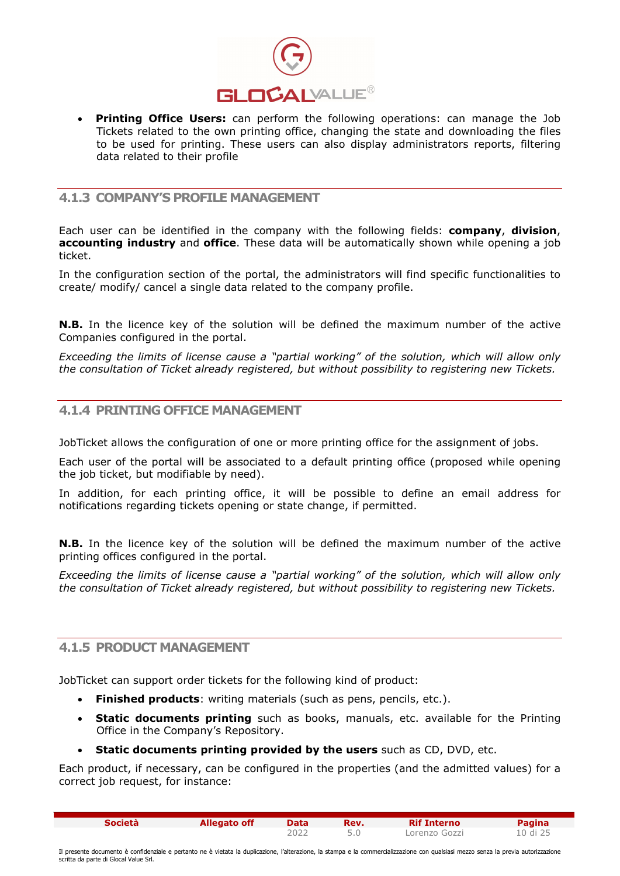

• Printing Office Users: can perform the following operations: can manage the Job Tickets related to the own printing office, changing the state and downloading the files to be used for printing. These users can also display administrators reports, filtering data related to their profile

#### 4.1.3 COMPANY'S PROFILE MANAGEMENT

Each user can be identified in the company with the following fields: **company, division**, accounting industry and office. These data will be automatically shown while opening a job ticket.

In the configuration section of the portal, the administrators will find specific functionalities to create/ modify/ cancel a single data related to the company profile.

N.B. In the licence key of the solution will be defined the maximum number of the active Companies configured in the portal.

Exceeding the limits of license cause a "partial working" of the solution, which will allow only the consultation of Ticket already registered, but without possibility to registering new Tickets.

#### 4.1.4 PRINTING OFFICE MANAGEMENT

JobTicket allows the configuration of one or more printing office for the assignment of jobs.

Each user of the portal will be associated to a default printing office (proposed while opening the job ticket, but modifiable by need).

In addition, for each printing office, it will be possible to define an email address for notifications regarding tickets opening or state change, if permitted.

**N.B.** In the licence key of the solution will be defined the maximum number of the active printing offices configured in the portal.

Exceeding the limits of license cause a "partial working" of the solution, which will allow only the consultation of Ticket already registered, but without possibility to registering new Tickets.

#### 4.1.5 PRODUCT MANAGEMENT

JobTicket can support order tickets for the following kind of product:

- Finished products: writing materials (such as pens, pencils, etc.).
- Static documents printing such as books, manuals, etc. available for the Printing Office in the Company's Repository.
- Static documents printing provided by the users such as CD, DVD, etc.

Each product, if necessary, can be configured in the properties (and the admitted values) for a correct job request, for instance:

| <b>Società</b> | Allegato off | Data  | Rev. | <b>Rif Interno</b> | Pagina   |
|----------------|--------------|-------|------|--------------------|----------|
|                |              | ے202∠ |      | Lorenzo Gozzi      | 10 di 25 |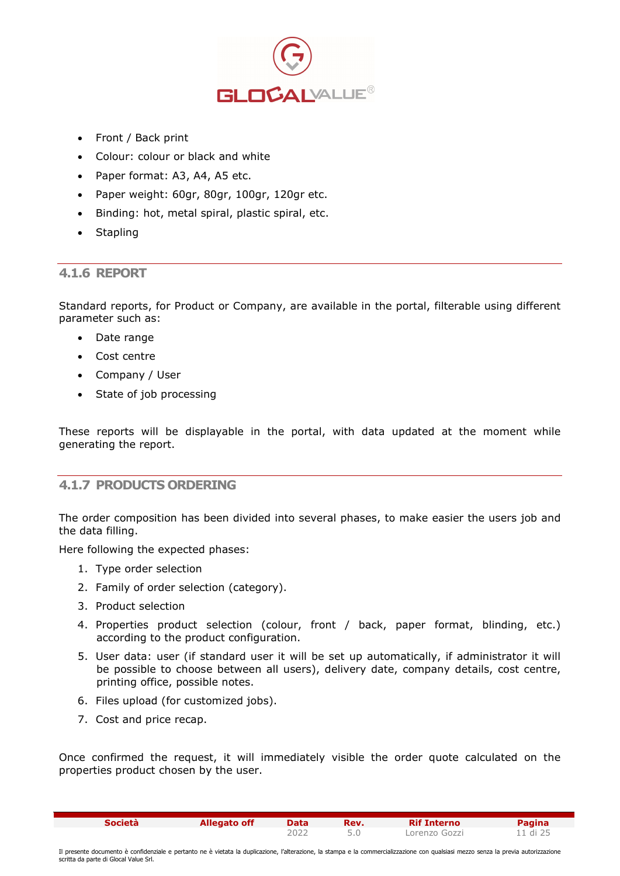

- Front / Back print
- Colour: colour or black and white
- Paper format: A3, A4, A5 etc.
- Paper weight: 60gr, 80gr, 100gr, 120gr etc.
- Binding: hot, metal spiral, plastic spiral, etc.
- **Stapling**

#### 4.1.6 REPORT

Standard reports, for Product or Company, are available in the portal, filterable using different parameter such as:

- Date range
- Cost centre
- Company / User
- State of job processing

These reports will be displayable in the portal, with data updated at the moment while generating the report.

#### 4.1.7 PRODUCTS ORDERING

The order composition has been divided into several phases, to make easier the users job and the data filling.

Here following the expected phases:

- 1. Type order selection
- 2. Family of order selection (category).
- 3. Product selection
- 4. Properties product selection (colour, front / back, paper format, blinding, etc.) according to the product configuration.
- 5. User data: user (if standard user it will be set up automatically, if administrator it will be possible to choose between all users), delivery date, company details, cost centre, printing office, possible notes.
- 6. Files upload (for customized jobs).
- 7. Cost and price recap.

Once confirmed the request, it will immediately visible the order quote calculated on the properties product chosen by the user.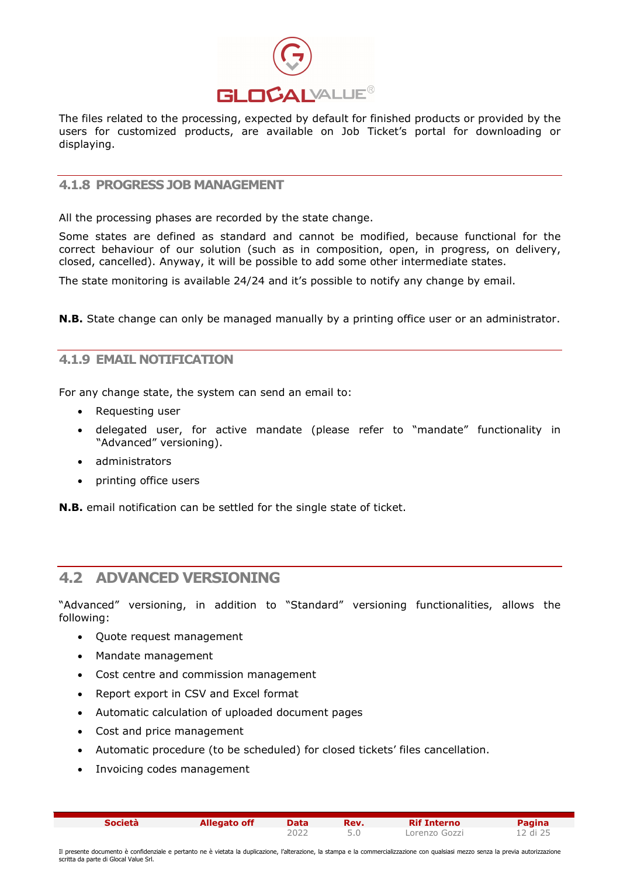

The files related to the processing, expected by default for finished products or provided by the users for customized products, are available on Job Ticket's portal for downloading or displaying.

#### 4.1.8 PROGRESS JOB MANAGEMENT

All the processing phases are recorded by the state change.

Some states are defined as standard and cannot be modified, because functional for the correct behaviour of our solution (such as in composition, open, in progress, on delivery, closed, cancelled). Anyway, it will be possible to add some other intermediate states.

The state monitoring is available 24/24 and it's possible to notify any change by email.

**N.B.** State change can only be managed manually by a printing office user or an administrator.

#### 4.1.9 EMAIL NOTIFICATION

For any change state, the system can send an email to:

- Requesting user
- delegated user, for active mandate (please refer to "mandate" functionality in "Advanced" versioning).
- administrators
- printing office users

N.B. email notification can be settled for the single state of ticket.

#### 4.2 ADVANCED VERSIONING

"Advanced" versioning, in addition to "Standard" versioning functionalities, allows the following:

- Ouote request management
- Mandate management
- Cost centre and commission management
- Report export in CSV and Excel format
- Automatic calculation of uploaded document pages
- Cost and price management
- Automatic procedure (to be scheduled) for closed tickets' files cancellation.
- Invoicing codes management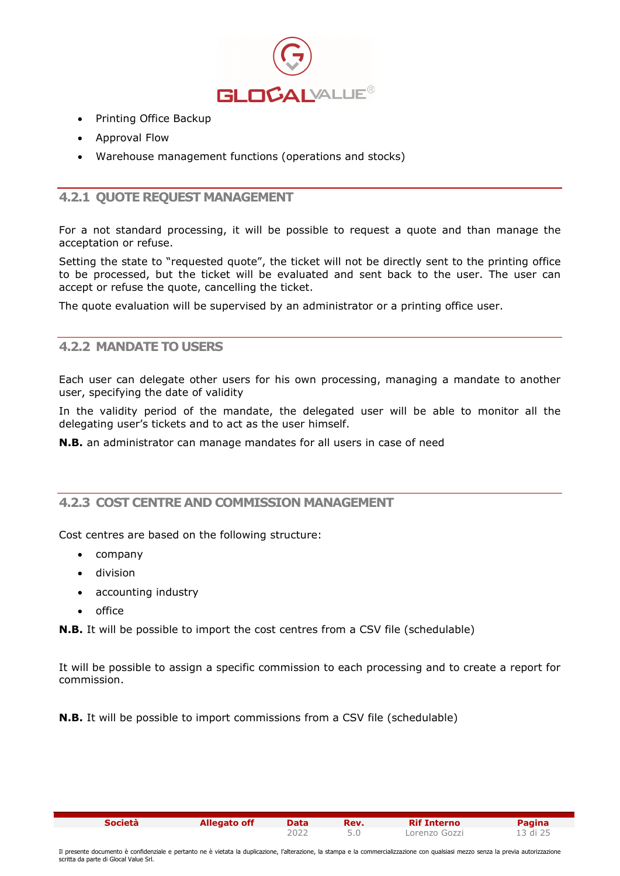

- Printing Office Backup
- Approval Flow
- Warehouse management functions (operations and stocks)

#### 4.2.1 QUOTE REQUEST MANAGEMENT

For a not standard processing, it will be possible to request a quote and than manage the acceptation or refuse.

Setting the state to "requested quote", the ticket will not be directly sent to the printing office to be processed, but the ticket will be evaluated and sent back to the user. The user can accept or refuse the quote, cancelling the ticket.

The quote evaluation will be supervised by an administrator or a printing office user.

#### 4.2.2 MANDATE TO USERS

Each user can delegate other users for his own processing, managing a mandate to another user, specifying the date of validity

In the validity period of the mandate, the delegated user will be able to monitor all the delegating user's tickets and to act as the user himself.

N.B. an administrator can manage mandates for all users in case of need

#### 4.2.3 COST CENTRE AND COMMISSION MANAGEMENT

Cost centres are based on the following structure:

- company
- division
- accounting industry
- $\bullet$  office

**N.B.** It will be possible to import the cost centres from a CSV file (schedulable)

It will be possible to assign a specific commission to each processing and to create a report for commission.

**N.B.** It will be possible to import commissions from a CSV file (schedulable)

Società Allegato off Data Rev. Rif Interno Pagina

2022 5.0 Lorenzo Gozzi 13 di 25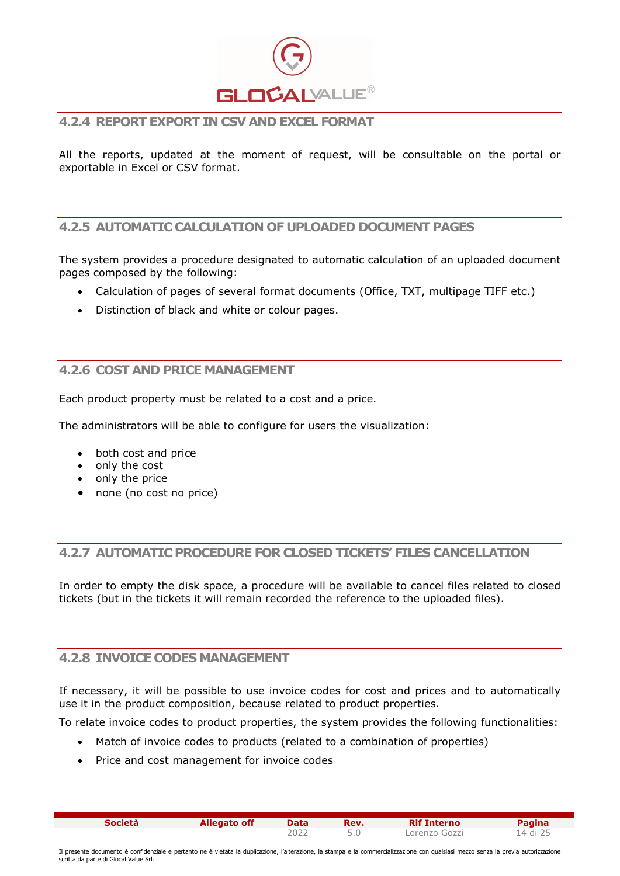

#### 4.2.4 REPORT EXPORT IN CSV AND EXCEL FORMAT

All the reports, updated at the moment of request, will be consultable on the portal or exportable in Excel or CSV format.

#### 4.2.5 AUTOMATIC CALCULATION OF UPLOADED DOCUMENT PAGES

The system provides a procedure designated to automatic calculation of an uploaded document pages composed by the following:

- Calculation of pages of several format documents (Office, TXT, multipage TIFF etc.)
- Distinction of black and white or colour pages.

#### 4.2.6 COST AND PRICE MANAGEMENT

Each product property must be related to a cost and a price.

The administrators will be able to configure for users the visualization:

- both cost and price
- $\bullet$  only the cost
- only the price
- none (no cost no price)

#### 4.2.7 AUTOMATIC PROCEDURE FOR CLOSED TICKETS' FILES CANCELLATION

In order to empty the disk space, a procedure will be available to cancel files related to closed tickets (but in the tickets it will remain recorded the reference to the uploaded files).

#### 4.2.8 INVOICE CODES MANAGEMENT

If necessary, it will be possible to use invoice codes for cost and prices and to automatically use it in the product composition, because related to product properties.

To relate invoice codes to product properties, the system provides the following functionalities:

- Match of invoice codes to products (related to a combination of properties)
- Price and cost management for invoice codes

Società Allegato off Data Rev. Rif Interno Pagina

2022 5.0 Lorenzo Gozzi 14 di 25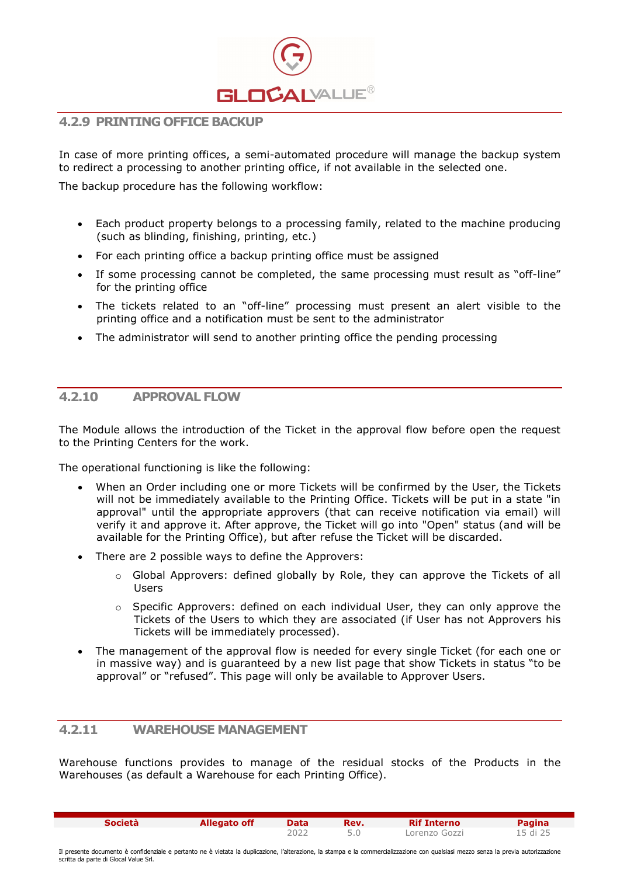

#### 4.2.9 PRINTING OFFICE BACKUP

In case of more printing offices, a semi-automated procedure will manage the backup system to redirect a processing to another printing office, if not available in the selected one.

The backup procedure has the following workflow:

- Each product property belongs to a processing family, related to the machine producing (such as blinding, finishing, printing, etc.)
- For each printing office a backup printing office must be assigned
- If some processing cannot be completed, the same processing must result as "off-line" for the printing office
- The tickets related to an "off-line" processing must present an alert visible to the printing office and a notification must be sent to the administrator
- The administrator will send to another printing office the pending processing

#### 4.2.10 APPROVAL FLOW

The Module allows the introduction of the Ticket in the approval flow before open the request to the Printing Centers for the work.

The operational functioning is like the following:

- When an Order including one or more Tickets will be confirmed by the User, the Tickets will not be immediately available to the Printing Office. Tickets will be put in a state "in approval" until the appropriate approvers (that can receive notification via email) will verify it and approve it. After approve, the Ticket will go into "Open" status (and will be available for the Printing Office), but after refuse the Ticket will be discarded.
- There are 2 possible ways to define the Approvers:
	- $\circ$  Global Approvers: defined globally by Role, they can approve the Tickets of all Users
	- $\circ$  Specific Approvers: defined on each individual User, they can only approve the Tickets of the Users to which they are associated (if User has not Approvers his Tickets will be immediately processed).
- The management of the approval flow is needed for every single Ticket (for each one or in massive way) and is guaranteed by a new list page that show Tickets in status "to be approval" or "refused". This page will only be available to Approver Users.

#### 4.2.11 WAREHOUSE MANAGEMENT

Warehouse functions provides to manage of the residual stocks of the Products in the Warehouses (as default a Warehouse for each Printing Office).

| <b>Società</b> | <b>Allegato off</b> | Data | Rev. | <b>Rif Interno</b> | Pagina   |
|----------------|---------------------|------|------|--------------------|----------|
|                |                     | 2022 |      | Lorenzo Gozzi      | 15 di 25 |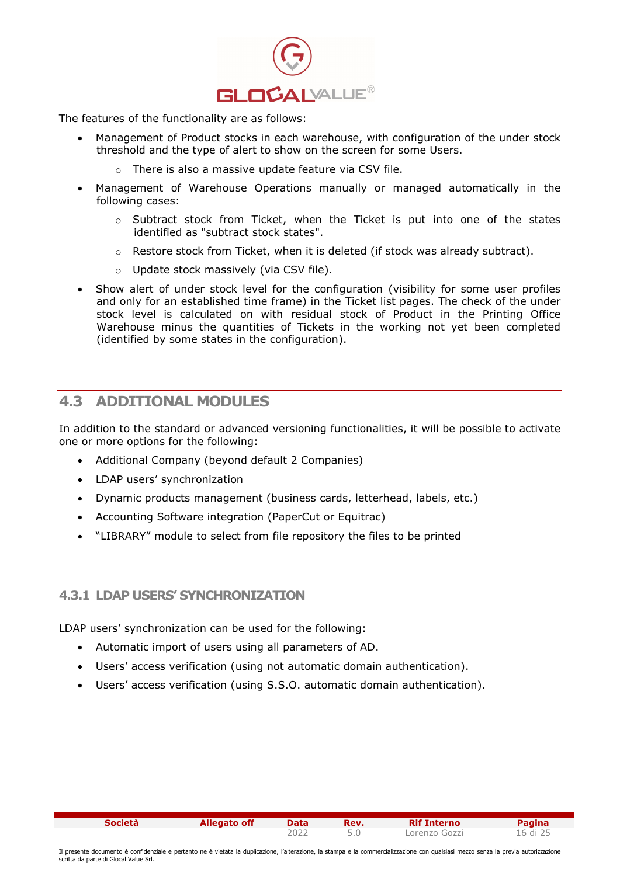

The features of the functionality are as follows:

- Management of Product stocks in each warehouse, with configuration of the under stock threshold and the type of alert to show on the screen for some Users.
	- o There is also a massive update feature via CSV file.
- Management of Warehouse Operations manually or managed automatically in the following cases:
	- o Subtract stock from Ticket, when the Ticket is put into one of the states identified as "subtract stock states".
	- $\circ$  Restore stock from Ticket, when it is deleted (if stock was already subtract).
	- o Update stock massively (via CSV file).
- Show alert of under stock level for the configuration (visibility for some user profiles and only for an established time frame) in the Ticket list pages. The check of the under stock level is calculated on with residual stock of Product in the Printing Office Warehouse minus the quantities of Tickets in the working not yet been completed (identified by some states in the configuration).

#### 4.3 ADDITIONAL MODULES

In addition to the standard or advanced versioning functionalities, it will be possible to activate one or more options for the following:

- Additional Company (beyond default 2 Companies)
- LDAP users' synchronization
- Dynamic products management (business cards, letterhead, labels, etc.)
- Accounting Software integration (PaperCut or Equitrac)
- "LIBRARY" module to select from file repository the files to be printed

#### 4.3.1 LDAP USERS' SYNCHRONIZATION

LDAP users' synchronization can be used for the following:

- Automatic import of users using all parameters of AD.
- Users' access verification (using not automatic domain authentication).
- Users' access verification (using S.S.O. automatic domain authentication).

Società Callegato off Data Rev. Rif Interno Pagina

2022 5.0 Lorenzo Gozzi 16 di 25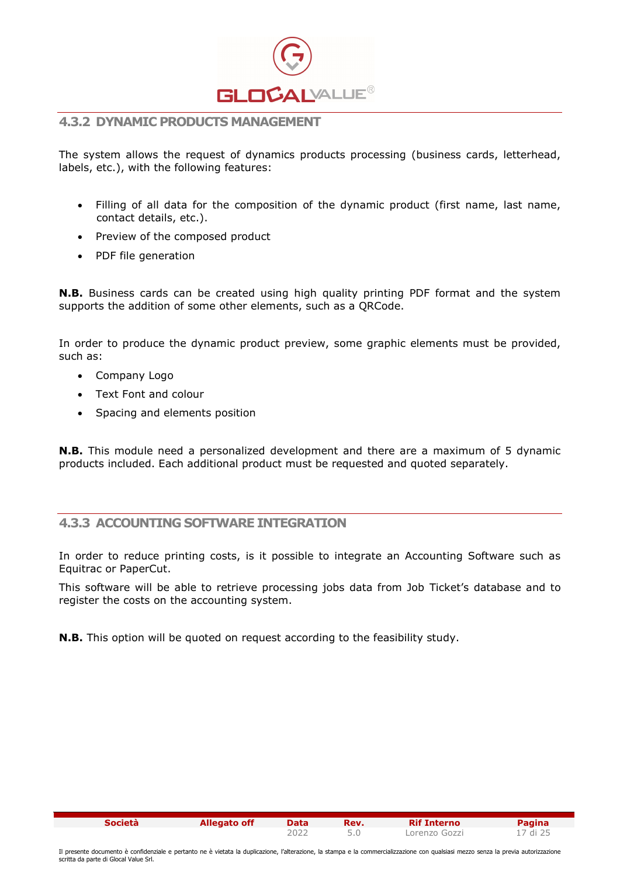

#### 4.3.2 DYNAMIC PRODUCTS MANAGEMENT

The system allows the request of dynamics products processing (business cards, letterhead, labels, etc.), with the following features:

- Filling of all data for the composition of the dynamic product (first name, last name, contact details, etc.).
- Preview of the composed product
- PDF file generation

N.B. Business cards can be created using high quality printing PDF format and the system supports the addition of some other elements, such as a QRCode.

In order to produce the dynamic product preview, some graphic elements must be provided, such as:

- Company Logo
- Text Font and colour
- Spacing and elements position

N.B. This module need a personalized development and there are a maximum of 5 dynamic products included. Each additional product must be requested and quoted separately.

#### 4.3.3 ACCOUNTING SOFTWARE INTEGRATION

In order to reduce printing costs, is it possible to integrate an Accounting Software such as Equitrac or PaperCut.

This software will be able to retrieve processing jobs data from Job Ticket's database and to register the costs on the accounting system.

N.B. This option will be quoted on request according to the feasibility study.

| <b>Società</b> | Allegato off | Data | Rev. | <b>Rif Interno</b> | Pagina   |
|----------------|--------------|------|------|--------------------|----------|
|                |              | ∠202 |      | Lorenzo Gozzi      | 17 di 25 |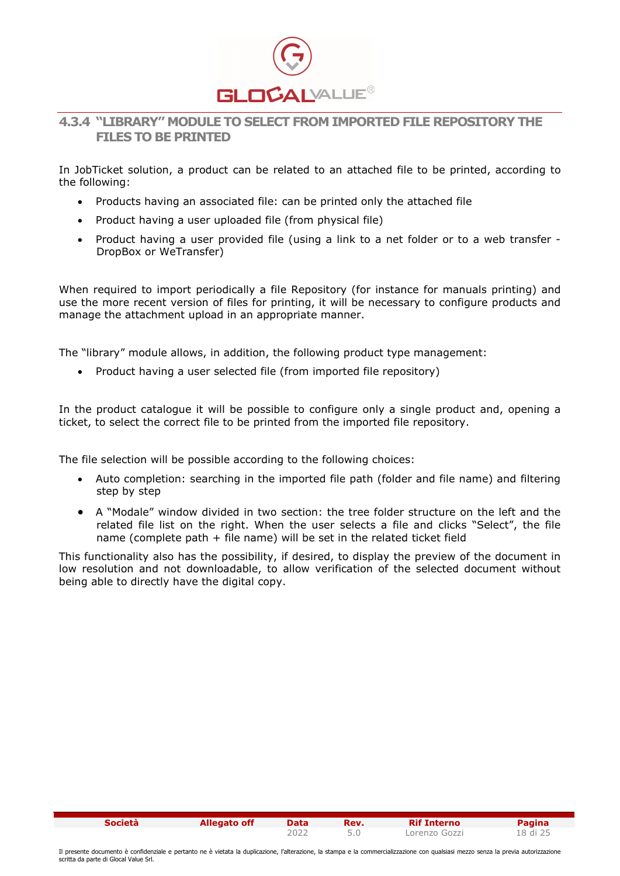

#### 4.3.4 "LIBRARY" MODULE TO SELECT FROM IMPORTED FILE REPOSITORY THE FILES TO BE PRINTED

In JobTicket solution, a product can be related to an attached file to be printed, according to the following:

- Products having an associated file: can be printed only the attached file
- Product having a user uploaded file (from physical file)
- Product having a user provided file (using a link to a net folder or to a web transfer -DropBox or WeTransfer)

When required to import periodically a file Repository (for instance for manuals printing) and use the more recent version of files for printing, it will be necessary to configure products and manage the attachment upload in an appropriate manner.

The "library" module allows, in addition, the following product type management:

Product having a user selected file (from imported file repository)

In the product catalogue it will be possible to configure only a single product and, opening a ticket, to select the correct file to be printed from the imported file repository.

The file selection will be possible according to the following choices:

- Auto completion: searching in the imported file path (folder and file name) and filtering step by step
- A "Modale" window divided in two section: the tree folder structure on the left and the related file list on the right. When the user selects a file and clicks "Select", the file name (complete path + file name) will be set in the related ticket field

This functionality also has the possibility, if desired, to display the preview of the document in low resolution and not downloadable, to allow verification of the selected document without being able to directly have the digital copy.

| <b>Società</b> | Allegato off | <b>Data</b> | Rev. | <b>Rif Interno</b> | Pagina   |
|----------------|--------------|-------------|------|--------------------|----------|
|                |              | ے202        |      | Lorenzo Gozzi      | 18 di 25 |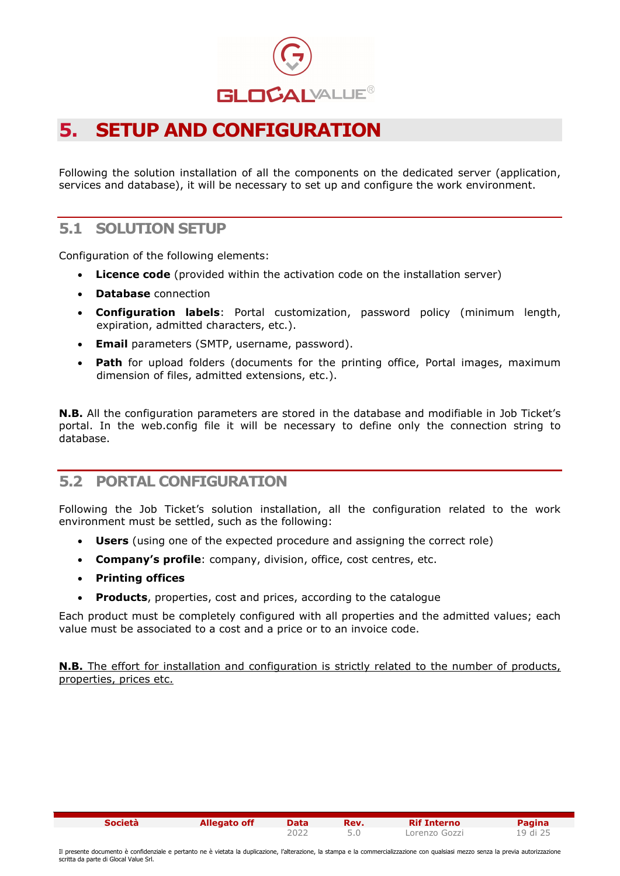

### 5. SETUP AND CONFIGURATION

Following the solution installation of all the components on the dedicated server (application, services and database), it will be necessary to set up and configure the work environment.

#### 5.1 SOLUTION SETUP

Configuration of the following elements:

- Licence code (provided within the activation code on the installation server)
- Database connection
- Configuration labels: Portal customization, password policy (minimum length, expiration, admitted characters, etc.).
- **Email** parameters (SMTP, username, password).
- **Path** for upload folders (documents for the printing office, Portal images, maximum dimension of files, admitted extensions, etc.).

**N.B.** All the configuration parameters are stored in the database and modifiable in Job Ticket's portal. In the web.config file it will be necessary to define only the connection string to database.

#### 5.2 PORTAL CONFIGURATION

Following the Job Ticket's solution installation, all the configuration related to the work environment must be settled, such as the following:

- Users (using one of the expected procedure and assigning the correct role)
- Company's profile: company, division, office, cost centres, etc.
- Printing offices
- Products, properties, cost and prices, according to the catalogue

Each product must be completely configured with all properties and the admitted values; each value must be associated to a cost and a price or to an invoice code.

**N.B.** The effort for installation and configuration is strictly related to the number of products, properties, prices etc.

Società Callegato off Data Rev. Rif Interno Pagina

2022 5.0 Lorenzo Gozzi 19 di 25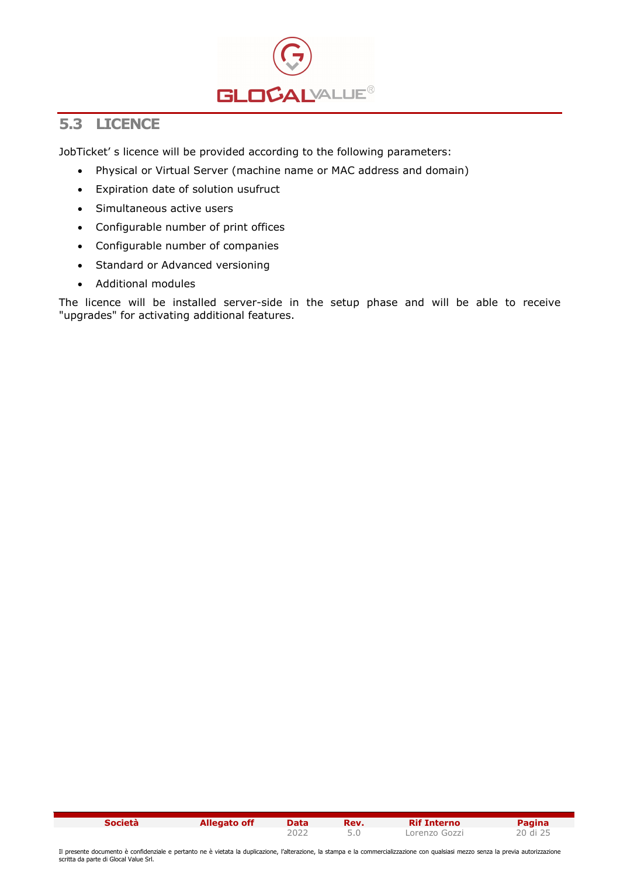

#### 5.3 LICENCE

JobTicket' s licence will be provided according to the following parameters:

- Physical or Virtual Server (machine name or MAC address and domain)
- Expiration date of solution usufruct
- Simultaneous active users
- Configurable number of print offices
- Configurable number of companies
- Standard or Advanced versioning
- Additional modules

The licence will be installed server-side in the setup phase and will be able to receive "upgrades" for activating additional features.

| <b>Società</b> | <b>Allegato off</b> | <b>Data</b> | Rev. | <b>Rif Interno</b> | <b>Pagina</b> |
|----------------|---------------------|-------------|------|--------------------|---------------|
|                |                     | ے202        |      | Lorenzo Gozzi      | 20 di 25      |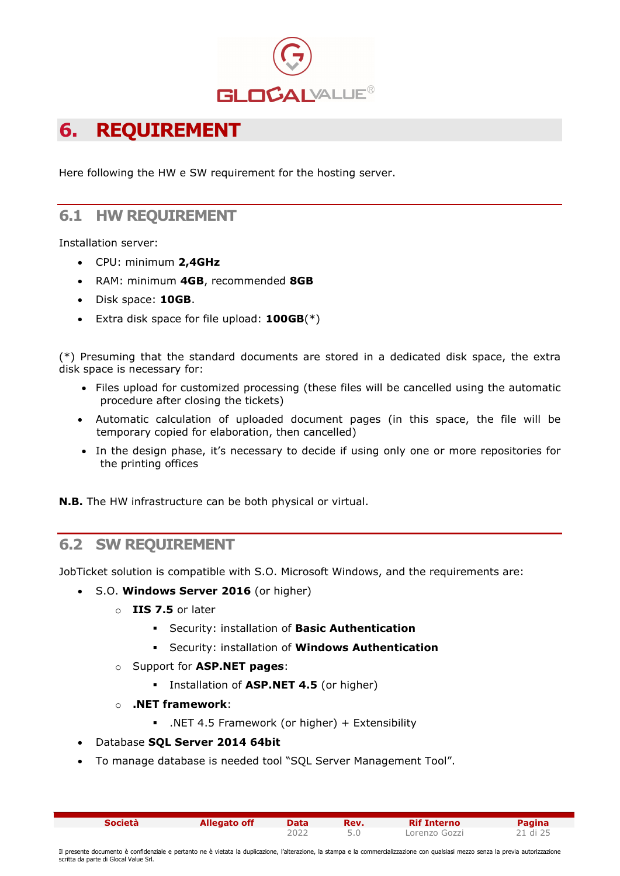

# 6. REQUIREMENT

Here following the HW e SW requirement for the hosting server.

#### 6.1 HW REQUIREMENT

Installation server:

- CPU: minimum 2,4GHz
- RAM: minimum 4GB, recommended 8GB
- Disk space: 10GB.
- Extra disk space for file upload:  $100GB(*)$

(\*) Presuming that the standard documents are stored in a dedicated disk space, the extra disk space is necessary for:

- Files upload for customized processing (these files will be cancelled using the automatic procedure after closing the tickets)
- Automatic calculation of uploaded document pages (in this space, the file will be temporary copied for elaboration, then cancelled)
- In the design phase, it's necessary to decide if using only one or more repositories for the printing offices

N.B. The HW infrastructure can be both physical or virtual.

#### 6.2 SW REQUIREMENT

JobTicket solution is compatible with S.O. Microsoft Windows, and the requirements are:

- S.O. Windows Server 2016 (or higher)
	- o IIS 7.5 or later
		- **Security: installation of Basic Authentication**
		- **Security: installation of Windows Authentication**
	- o Support for ASP.NET pages:
		- Installation of ASP.NET 4.5 (or higher)
	- o .NET framework:
		- .NET 4.5 Framework (or higher) + Extensibility
- Database SOL Server 2014 64bit
- To manage database is needed tool "SQL Server Management Tool".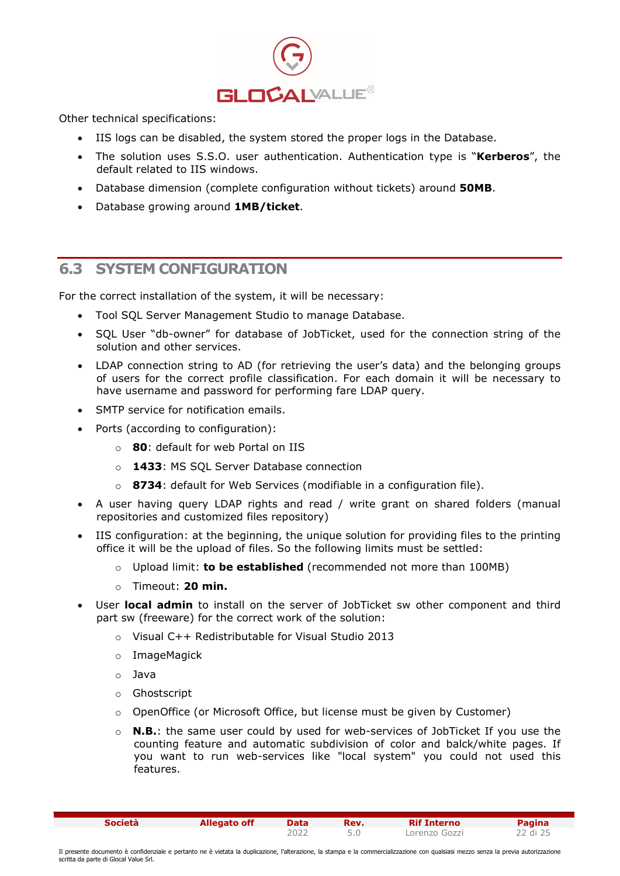

Other technical specifications:

- IIS logs can be disabled, the system stored the proper logs in the Database.
- The solution uses S.S.O. user authentication. Authentication type is "Kerberos", the default related to IIS windows.
- Database dimension (complete configuration without tickets) around **50MB**.
- Database growing around 1MB/ticket.

#### 6.3 SYSTEM CONFIGURATION

For the correct installation of the system, it will be necessary:

- Tool SQL Server Management Studio to manage Database.
- SQL User "db-owner" for database of JobTicket, used for the connection string of the solution and other services.
- LDAP connection string to AD (for retrieving the user's data) and the belonging groups of users for the correct profile classification. For each domain it will be necessary to have username and password for performing fare LDAP query.
- SMTP service for notification emails.
- Ports (according to configuration):
	- 80: default for web Portal on IIS
	- o **1433: MS SOL Server Database connection**
	- o 8734: default for Web Services (modifiable in a configuration file).
- A user having query LDAP rights and read / write grant on shared folders (manual repositories and customized files repository)
- IIS configuration: at the beginning, the unique solution for providing files to the printing office it will be the upload of files. So the following limits must be settled:
	- $\circ$  Upload limit: to be established (recommended not more than 100MB)
	- $\circ$  Timeout: 20 min.
- User local admin to install on the server of JobTicket sw other component and third part sw (freeware) for the correct work of the solution:
	- o Visual C++ Redistributable for Visual Studio 2013
	- o ImageMagick
	- o Java
	- o Ghostscript
	- o OpenOffice (or Microsoft Office, but license must be given by Customer)
	- $\circ$  **N.B.**: the same user could by used for web-services of JobTicket If you use the counting feature and automatic subdivision of color and balck/white pages. If you want to run web-services like "local system" you could not used this features.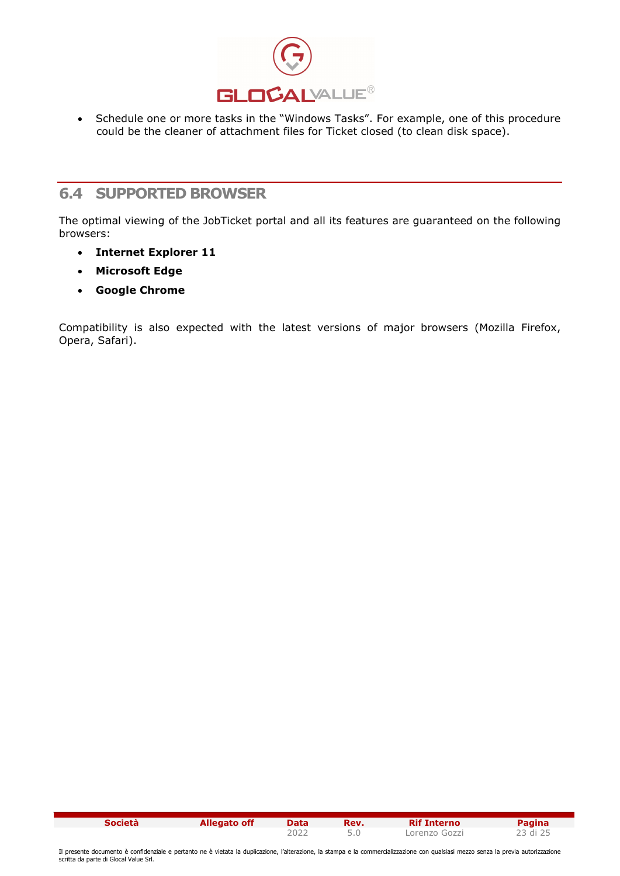

• Schedule one or more tasks in the "Windows Tasks". For example, one of this procedure could be the cleaner of attachment files for Ticket closed (to clean disk space).

#### 6.4 SUPPORTED BROWSER

The optimal viewing of the JobTicket portal and all its features are guaranteed on the following browsers:

- Internet Explorer 11
- Microsoft Edge
- Google Chrome

Compatibility is also expected with the latest versions of major browsers (Mozilla Firefox, Opera, Safari).

| <b>Società</b> | <b>Allegato off</b> | <b>Data</b> | Rev. | <b>Rif Interno</b> | <b>Pagina</b> |
|----------------|---------------------|-------------|------|--------------------|---------------|
|                |                     | 2022        |      | Lorenzo Gozzi      | 23 di 25      |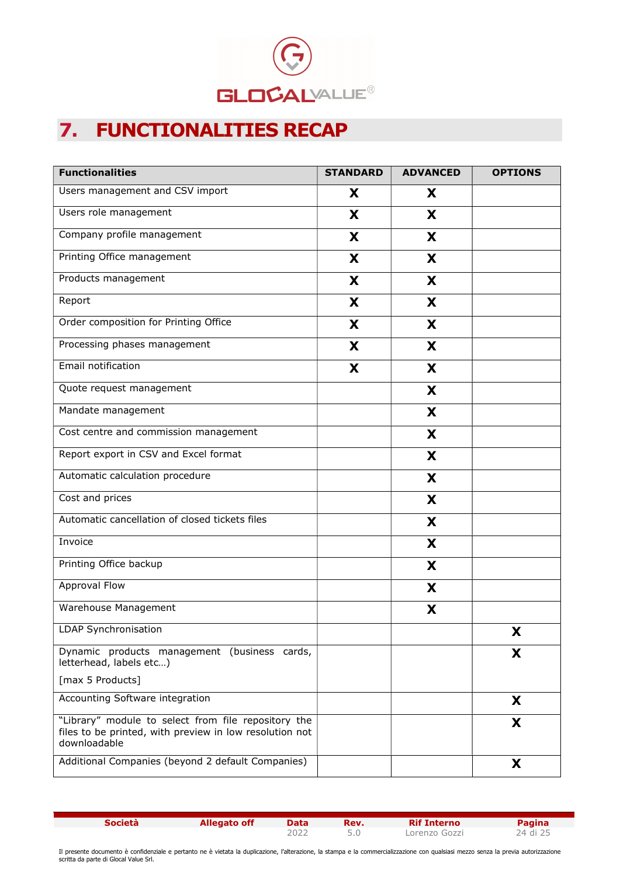

# 7. FUNCTIONALITIES RECAP

| <b>Functionalities</b>                                                                                                         | <b>STANDARD</b> | <b>ADVANCED</b> | <b>OPTIONS</b> |
|--------------------------------------------------------------------------------------------------------------------------------|-----------------|-----------------|----------------|
| Users management and CSV import                                                                                                | X               | X               |                |
| Users role management                                                                                                          | X               | X               |                |
| Company profile management                                                                                                     | X               | X               |                |
| Printing Office management                                                                                                     | X               | X               |                |
| Products management                                                                                                            | X               | X               |                |
| Report                                                                                                                         | X               | X               |                |
| Order composition for Printing Office                                                                                          | X               | X               |                |
| Processing phases management                                                                                                   | X               | X               |                |
| Email notification                                                                                                             | X               | X               |                |
| Quote request management                                                                                                       |                 | X               |                |
| Mandate management                                                                                                             |                 | X               |                |
| Cost centre and commission management                                                                                          |                 | X               |                |
| Report export in CSV and Excel format                                                                                          |                 | X               |                |
| Automatic calculation procedure                                                                                                |                 | X               |                |
| Cost and prices                                                                                                                |                 | X               |                |
| Automatic cancellation of closed tickets files                                                                                 |                 | X               |                |
| Invoice                                                                                                                        |                 | X               |                |
| Printing Office backup                                                                                                         |                 | X               |                |
| Approval Flow                                                                                                                  |                 | X               |                |
| Warehouse Management                                                                                                           |                 | X               |                |
| LDAP Synchronisation                                                                                                           |                 |                 | X              |
| Dynamic products management (business cards,<br>letterhead, labels etc)                                                        |                 |                 | X              |
| [max 5 Products]                                                                                                               |                 |                 |                |
| Accounting Software integration                                                                                                |                 |                 | X              |
| "Library" module to select from file repository the<br>files to be printed, with preview in low resolution not<br>downloadable |                 |                 | X              |
| Additional Companies (beyond 2 default Companies)                                                                              |                 |                 | X              |

**Società Allegato off Data Rev. Rif Interno Pagina**<br>2022 5.0 Lorenzo Gozzi 24 di 25

Lorenzo Gozzi